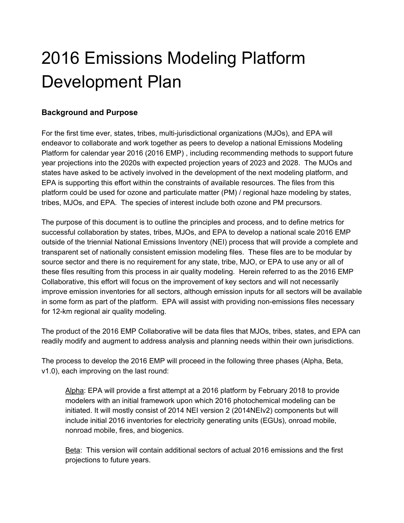# 2016 Emissions Modeling Platform Development Plan

### **Background and Purpose**

For the first time ever, states, tribes, multi-jurisdictional organizations (MJOs), and EPA will endeavor to collaborate and work together as peers to develop a national Emissions Modeling Platform for calendar year 2016 (2016 EMP) , including recommending methods to support future year projections into the 2020s with expected projection years of 2023 and 2028. The MJOs and states have asked to be actively involved in the development of the next modeling platform, and EPA is supporting this effort within the constraints of available resources. The files from this platform could be used for ozone and particulate matter (PM) / regional haze modeling by states, tribes, MJOs, and EPA. The species of interest include both ozone and PM precursors.

The purpose of this document is to outline the principles and process, and to define metrics for successful collaboration by states, tribes, MJOs, and EPA to develop a national scale 2016 EMP outside of the triennial National Emissions Inventory (NEI) process that will provide a complete and transparent set of nationally consistent emission modeling files. These files are to be modular by source sector and there is no requirement for any state, tribe, MJO, or EPA to use any or all of these files resulting from this process in air quality modeling. Herein referred to as the 2016 EMP Collaborative, this effort will focus on the improvement of key sectors and will not necessarily improve emission inventories for all sectors, although emission inputs for all sectors will be available in some form as part of the platform. EPA will assist with providing non-emissions files necessary for 12-km regional air quality modeling.

The product of the 2016 EMP Collaborative will be data files that MJOs, tribes, states, and EPA can readily modify and augment to address analysis and planning needs within their own jurisdictions.

The process to develop the 2016 EMP will proceed in the following three phases (Alpha, Beta, v1.0), each improving on the last round:

Alpha: EPA will provide a first attempt at a 2016 platform by February 2018 to provide modelers with an initial framework upon which 2016 photochemical modeling can be initiated. It will mostly consist of 2014 NEI version 2 (2014NEIv2) components but will include initial 2016 inventories for electricity generating units (EGUs), onroad mobile, nonroad mobile, fires, and biogenics.

Beta: This version will contain additional sectors of actual 2016 emissions and the first projections to future years.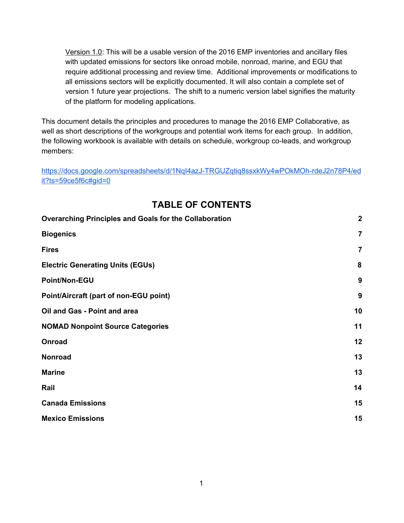Version 1.0: This will be a usable version of the 2016 EMP inventories and ancillary files with updated emissions for sectors like onroad mobile, nonroad, marine, and EGU that require additional processing and review time. Additional improvements or modifications to all emissions sectors will be explicitly documented. It will also contain a complete set of version 1 future year projections. The shift to a numeric version label signifies the maturity of the platform for modeling applications.

This document details the principles and procedures to manage the 2016 EMP Collaborative, as well as short descriptions of the workgroups and potential work items for each group. In addition, the following workbook is available with details on schedule, workgroup co-leads, and workgroup members:

[https://docs.google.com/spreadsheets/d/1NqI4azJ-TRGUZqtiq8ssxkWy4wPOkMOh-rdeJ2n78P4/ed](https://docs.google.com/spreadsheets/d/1NqI4azJ-TRGUZqtiq8ssxkWy4wPOkMOh-rdeJ2n78P4/edit?ts=59ce5f6c#gid=0) [it?ts=59ce5f6c#gid=0](https://docs.google.com/spreadsheets/d/1NqI4azJ-TRGUZqtiq8ssxkWy4wPOkMOh-rdeJ2n78P4/edit?ts=59ce5f6c#gid=0)

| <b>Overarching Principles and Goals for the Collaboration</b> | $\boldsymbol{2}$ |
|---------------------------------------------------------------|------------------|
| <b>Biogenics</b>                                              | $\overline{7}$   |
| <b>Fires</b>                                                  | $\overline{7}$   |
| <b>Electric Generating Units (EGUs)</b>                       | 8                |
| Point/Non-EGU                                                 | 9                |
| Point/Aircraft (part of non-EGU point)                        | 9                |
| Oil and Gas - Point and area                                  | 10               |
| <b>NOMAD Nonpoint Source Categories</b>                       | 11               |
| Onroad                                                        | 12               |
| <b>Nonroad</b>                                                | 13               |
| <b>Marine</b>                                                 | 13               |
| Rail                                                          | 14               |
| <b>Canada Emissions</b>                                       | 15               |
| <b>Mexico Emissions</b>                                       | 15               |

# **TABLE OF CONTENTS**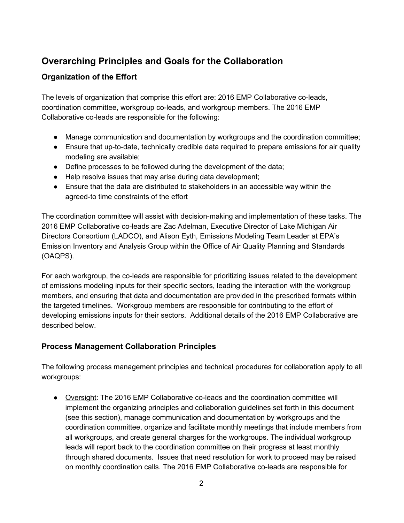# <span id="page-2-0"></span>**Overarching Principles and Goals for the Collaboration**

# **Organization of the Effort**

The levels of organization that comprise this effort are: 2016 EMP Collaborative co-leads, coordination committee, workgroup co-leads, and workgroup members. The 2016 EMP Collaborative co-leads are responsible for the following:

- Manage communication and documentation by workgroups and the coordination committee;
- Ensure that up-to-date, technically credible data required to prepare emissions for air quality modeling are available;
- Define processes to be followed during the development of the data;
- Help resolve issues that may arise during data development;
- Ensure that the data are distributed to stakeholders in an accessible way within the agreed-to time constraints of the effort

The coordination committee will assist with decision-making and implementation of these tasks. The 2016 EMP Collaborative co-leads are Zac Adelman, Executive Director of Lake Michigan Air Directors Consortium (LADCO), and Alison Eyth, Emissions Modeling Team Leader at EPA's Emission Inventory and Analysis Group within the Office of Air Quality Planning and Standards (OAQPS).

For each workgroup, the co-leads are responsible for prioritizing issues related to the development of emissions modeling inputs for their specific sectors, leading the interaction with the workgroup members, and ensuring that data and documentation are provided in the prescribed formats within the targeted timelines. Workgroup members are responsible for contributing to the effort of developing emissions inputs for their sectors. Additional details of the 2016 EMP Collaborative are described below.

# **Process Management Collaboration Principles**

The following process management principles and technical procedures for collaboration apply to all workgroups:

● Oversight: The 2016 EMP Collaborative co-leads and the coordination committee will implement the organizing principles and collaboration guidelines set forth in this document (see this section), manage communication and documentation by workgroups and the coordination committee, organize and facilitate monthly meetings that include members from all workgroups, and create general charges for the workgroups. The individual workgroup leads will report back to the coordination committee on their progress at least monthly through shared documents. Issues that need resolution for work to proceed may be raised on monthly coordination calls. The 2016 EMP Collaborative co-leads are responsible for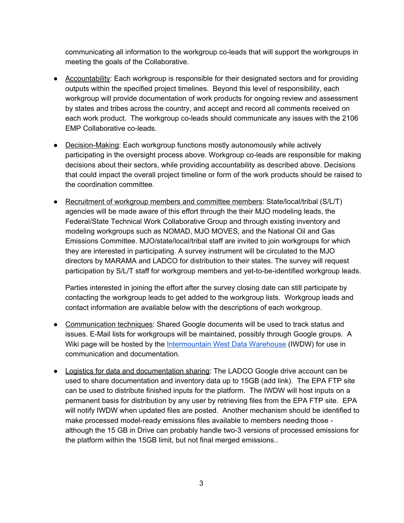communicating all information to the workgroup co-leads that will support the workgroups in meeting the goals of the Collaborative.

- Accountability: Each workgroup is responsible for their designated sectors and for providing outputs within the specified project timelines. Beyond this level of responsibility, each workgroup will provide documentation of work products for ongoing review and assessment by states and tribes across the country, and accept and record all comments received on each work product. The workgroup co-leads should communicate any issues with the 2106 EMP Collaborative co-leads.
- Decision-Making: Each workgroup functions mostly autonomously while actively participating in the oversight process above. Workgroup co-leads are responsible for making decisions about their sectors, while providing accountability as described above. Decisions that could impact the overall project timeline or form of the work products should be raised to the coordination committee.
- Recruitment of workgroup members and committee members: State/local/tribal (S/L/T) agencies will be made aware of this effort through the their MJO modeling leads, the Federal/State Technical Work Collaborative Group and through existing inventory and modeling workgroups such as NOMAD, MJO MOVES, and the National Oil and Gas Emissions Committee. MJO/state/local/tribal staff are invited to join workgroups for which they are interested in participating. A survey instrument will be circulated to the MJO directors by MARAMA and LADCO for distribution to their states. The survey will request participation by S/L/T staff for workgroup members and yet-to-be-identified workgroup leads.

Parties interested in joining the effort after the survey closing date can still participate by contacting the workgroup leads to get added to the workgroup lists. Workgroup leads and contact information are available below with the descriptions of each workgroup.

- Communication techniques: Shared Google documents will be used to track status and issues. E-Mail lists for workgroups will be maintained, possibly through Google groups. A Wiki page will be hosted by the [Intermountain](http://views.cira.colostate.edu/tsdw/) West Data Warehouse (IWDW) for use in communication and documentation.
- Logistics for data and documentation sharing: The LADCO Google drive account can be used to share documentation and inventory data up to 15GB (add link). The EPA FTP site can be used to distribute finished inputs for the platform. The IWDW will host inputs on a permanent basis for distribution by any user by retrieving files from the EPA FTP site. EPA will notify IWDW when updated files are posted. Another mechanism should be identified to make processed model-ready emissions files available to members needing those although the 15 GB in Drive can probably handle two-3 versions of processed emissions for the platform within the 15GB limit, but not final merged emissions..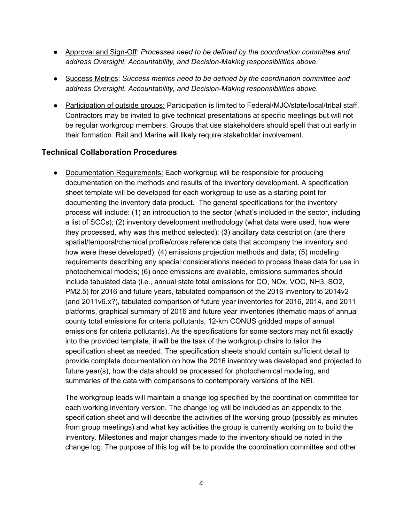- Approval and Sign-Off: *Processes need to be defined by the coordination committee and address Oversight, Accountability, and Decision-Making responsibilities above.*
- Success Metrics: *Success metrics need to be defined by the coordination committee and address Oversight, Accountability, and Decision-Making responsibilities above.*
- Participation of outside groups: Participation is limited to Federal/MJO/state/local/tribal staff. Contractors may be invited to give technical presentations at specific meetings but will not be regular workgroup members. Groups that use stakeholders should spell that out early in their formation. Rail and Marine will likely require stakeholder involvement.

#### **Technical Collaboration Procedures**

• Documentation Requirements: Each workgroup will be responsible for producing documentation on the methods and results of the inventory development. A specification sheet template will be developed for each workgroup to use as a starting point for documenting the inventory data product. The general specifications for the inventory process will include: (1) an introduction to the sector (what's included in the sector, including a list of SCCs); (2) inventory development methodology (what data were used, how were they processed, why was this method selected); (3) ancillary data description (are there spatial/temporal/chemical profile/cross reference data that accompany the inventory and how were these developed); (4) emissions projection methods and data; (5) modeling requirements describing any special considerations needed to process these data for use in photochemical models; (6) once emissions are available, emissions summaries should include tabulated data (i.e., annual state total emissions for CO, NOx, VOC, NH3, SO2, PM2.5) for 2016 and future years, tabulated comparison of the 2016 inventory to 2014v2 (and 2011v6.x?), tabulated comparison of future year inventories for 2016, 2014, and 2011 platforms, graphical summary of 2016 and future year inventories (thematic maps of annual county total emissions for criteria pollutants, 12-km CONUS gridded maps of annual emissions for criteria pollutants). As the specifications for some sectors may not fit exactly into the provided template, it will be the task of the workgroup chairs to tailor the specification sheet as needed. The specification sheets should contain sufficient detail to provide complete documentation on how the 2016 inventory was developed and projected to future year(s), how the data should be processed for photochemical modeling, and summaries of the data with comparisons to contemporary versions of the NEI.

The workgroup leads will maintain a change log specified by the coordination committee for each working inventory version. The change log will be included as an appendix to the specification sheet and will describe the activities of the working group (possibly as minutes from group meetings) and what key activities the group is currently working on to build the inventory. Milestones and major changes made to the inventory should be noted in the change log. The purpose of this log will be to provide the coordination committee and other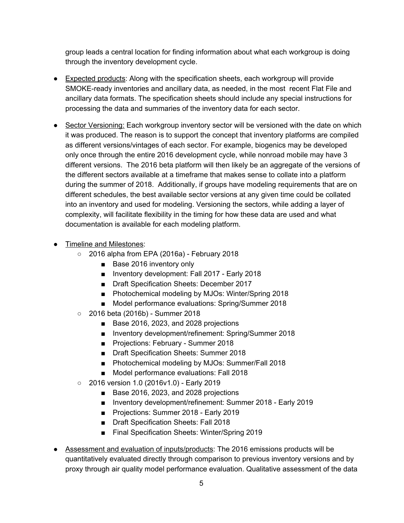group leads a central location for finding information about what each workgroup is doing through the inventory development cycle.

- Expected products: Along with the specification sheets, each workgroup will provide SMOKE-ready inventories and ancillary data, as needed, in the most recent Flat File and ancillary data formats. The specification sheets should include any special instructions for processing the data and summaries of the inventory data for each sector.
- Sector Versioning: Each workgroup inventory sector will be versioned with the date on which it was produced. The reason is to support the concept that inventory platforms are compiled as different versions/vintages of each sector. For example, biogenics may be developed only once through the entire 2016 development cycle, while nonroad mobile may have 3 different versions. The 2016 beta platform will then likely be an aggregate of the versions of the different sectors available at a timeframe that makes sense to collate into a platform during the summer of 2018. Additionally, if groups have modeling requirements that are on different schedules, the best available sector versions at any given time could be collated into an inventory and used for modeling. Versioning the sectors, while adding a layer of complexity, will facilitate flexibility in the timing for how these data are used and what documentation is available for each modeling platform.
- Timeline and Milestones:
	- 2016 alpha from EPA (2016a) February 2018
		- Base 2016 inventory only
		- Inventory development: Fall 2017 Early 2018
		- Draft Specification Sheets: December 2017
		- Photochemical modeling by MJOs: Winter/Spring 2018
		- Model performance evaluations: Spring/Summer 2018
	- 2016 beta (2016b) Summer 2018
		- Base 2016, 2023, and 2028 projections
		- Inventory development/refinement: Spring/Summer 2018
		- Projections: February Summer 2018
		- Draft Specification Sheets: Summer 2018
		- Photochemical modeling by MJOs: Summer/Fall 2018
		- Model performance evaluations: Fall 2018
	- 2016 version 1.0 (2016v1.0) Early 2019
		- Base 2016, 2023, and 2028 projections
		- Inventory development/refinement: Summer 2018 Early 2019
		- Projections: Summer 2018 Early 2019
		- Draft Specification Sheets: Fall 2018
		- Final Specification Sheets: Winter/Spring 2019
- Assessment and evaluation of inputs/products: The 2016 emissions products will be quantitatively evaluated directly through comparison to previous inventory versions and by proxy through air quality model performance evaluation. Qualitative assessment of the data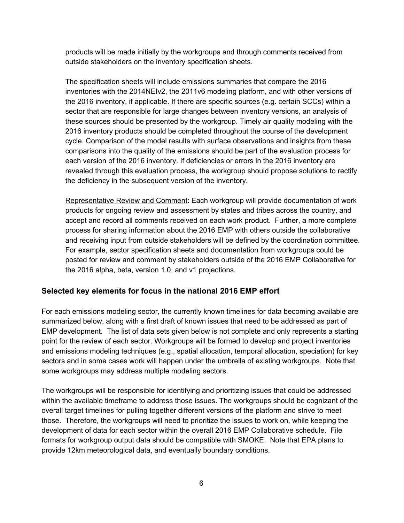products will be made initially by the workgroups and through comments received from outside stakeholders on the inventory specification sheets.

The specification sheets will include emissions summaries that compare the 2016 inventories with the 2014NEIv2, the 2011v6 modeling platform, and with other versions of the 2016 inventory, if applicable. If there are specific sources (e.g. certain SCCs) within a sector that are responsible for large changes between inventory versions, an analysis of these sources should be presented by the workgroup. Timely air quality modeling with the 2016 inventory products should be completed throughout the course of the development cycle. Comparison of the model results with surface observations and insights from these comparisons into the quality of the emissions should be part of the evaluation process for each version of the 2016 inventory. If deficiencies or errors in the 2016 inventory are revealed through this evaluation process, the workgroup should propose solutions to rectify the deficiency in the subsequent version of the inventory.

Representative Review and Comment: Each workgroup will provide documentation of work products for ongoing review and assessment by states and tribes across the country, and accept and record all comments received on each work product. Further, a more complete process for sharing information about the 2016 EMP with others outside the collaborative and receiving input from outside stakeholders will be defined by the coordination committee. For example, sector specification sheets and documentation from workgroups could be posted for review and comment by stakeholders outside of the 2016 EMP Collaborative for the 2016 alpha, beta, version 1.0, and v1 projections.

#### **Selected key elements for focus in the national 2016 EMP effort**

For each emissions modeling sector, the currently known timelines for data becoming available are summarized below, along with a first draft of known issues that need to be addressed as part of EMP development. The list of data sets given below is not complete and only represents a starting point for the review of each sector. Workgroups will be formed to develop and project inventories and emissions modeling techniques (e.g., spatial allocation, temporal allocation, speciation) for key sectors and in some cases work will happen under the umbrella of existing workgroups. Note that some workgroups may address multiple modeling sectors.

The workgroups will be responsible for identifying and prioritizing issues that could be addressed within the available timeframe to address those issues. The workgroups should be cognizant of the overall target timelines for pulling together different versions of the platform and strive to meet those. Therefore, the workgroups will need to prioritize the issues to work on, while keeping the development of data for each sector within the overall 2016 EMP Collaborative schedule. File formats for workgroup output data should be compatible with SMOKE. Note that EPA plans to provide 12km meteorological data, and eventually boundary conditions.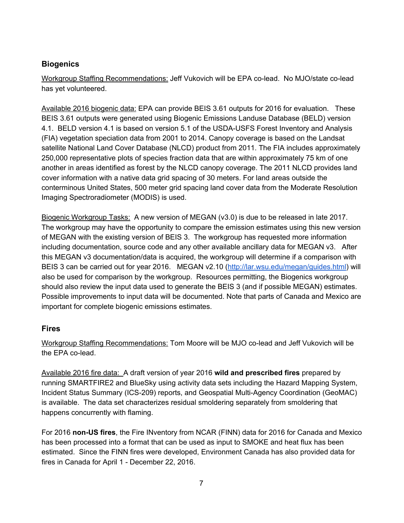# <span id="page-7-0"></span>**Biogenics**

Workgroup Staffing Recommendations: Jeff Vukovich will be EPA co-lead. No MJO/state co-lead has yet volunteered.

Available 2016 biogenic data: EPA can provide BEIS 3.61 outputs for 2016 for evaluation. These BEIS 3.61 outputs were generated using Biogenic Emissions Landuse Database (BELD) version 4.1. BELD version 4.1 is based on version 5.1 of the USDA-USFS Forest Inventory and Analysis (FIA) vegetation speciation data from 2001 to 2014. Canopy coverage is based on the Landsat satellite National Land Cover Database (NLCD) product from 2011. The FIA includes approximately 250,000 representative plots of species fraction data that are within approximately 75 km of one another in areas identified as forest by the NLCD canopy coverage. The 2011 NLCD provides land cover information with a native data grid spacing of 30 meters. For land areas outside the conterminous United States, 500 meter grid spacing land cover data from the Moderate Resolution Imaging Spectroradiometer (MODIS) is used.

Biogenic Workgroup Tasks: A new version of MEGAN (v3.0) is due to be released in late 2017. The workgroup may have the opportunity to compare the emission estimates using this new version of MEGAN with the existing version of BEIS 3. The workgroup has requested more information including documentation, source code and any other available ancillary data for MEGAN v3. After this MEGAN v3 documentation/data is acquired, the workgroup will determine if a comparison with BEIS 3 can be carried out for year 2016. MEGAN v2.10 [\(http://lar.wsu.edu/megan/guides.html\)](http://lar.wsu.edu/megan/guides.html) will also be used for comparison by the workgroup. Resources permitting, the Biogenics workgroup should also review the input data used to generate the BEIS 3 (and if possible MEGAN) estimates. Possible improvements to input data will be documented. Note that parts of Canada and Mexico are important for complete biogenic emissions estimates.

### <span id="page-7-1"></span>**Fires**

Workgroup Staffing Recommendations: Tom Moore will be MJO co-lead and Jeff Vukovich will be the EPA co-lead.

Available 2016 fire data: A draft version of year 2016 **wild and prescribed fires** prepared by running SMARTFIRE2 and BlueSky using activity data sets including the Hazard Mapping System, Incident Status Summary (ICS-209) reports, and Geospatial Multi-Agency Coordination (GeoMAC) is available. The data set characterizes residual smoldering separately from smoldering that happens concurrently with flaming.

For 2016 **non-US fires**, the Fire INventory from NCAR (FINN) data for 2016 for Canada and Mexico has been processed into a format that can be used as input to SMOKE and heat flux has been estimated. Since the FINN fires were developed, Environment Canada has also provided data for fires in Canada for April 1 - December 22, 2016.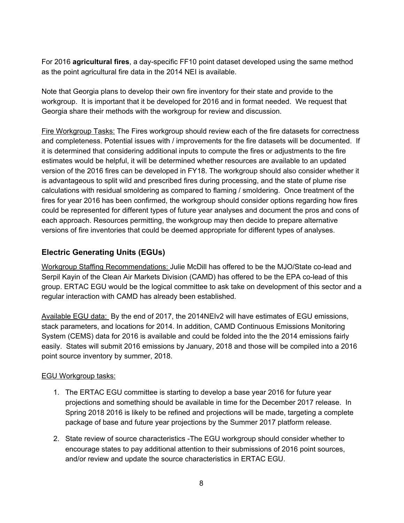For 2016 **agricultural fires**, a day-specific FF10 point dataset developed using the same method as the point agricultural fire data in the 2014 NEI is available.

Note that Georgia plans to develop their own fire inventory for their state and provide to the workgroup. It is important that it be developed for 2016 and in format needed. We request that Georgia share their methods with the workgroup for review and discussion.

Fire Workgroup Tasks: The Fires workgroup should review each of the fire datasets for correctness and completeness. Potential issues with / improvements for the fire datasets will be documented. If it is determined that considering additional inputs to compute the fires or adjustments to the fire estimates would be helpful, it will be determined whether resources are available to an updated version of the 2016 fires can be developed in FY18. The workgroup should also consider whether it is advantageous to split wild and prescribed fires during processing, and the state of plume rise calculations with residual smoldering as compared to flaming / smoldering. Once treatment of the fires for year 2016 has been confirmed, the workgroup should consider options regarding how fires could be represented for different types of future year analyses and document the pros and cons of each approach. Resources permitting, the workgroup may then decide to prepare alternative versions of fire inventories that could be deemed appropriate for different types of analyses.

# <span id="page-8-0"></span>**Electric Generating Units (EGUs)**

Workgroup Staffing Recommendations: Julie McDill has offered to be the MJO/State co-lead and Serpil Kayin of the Clean Air Markets Division (CAMD) has offered to be the EPA co-lead of this group. ERTAC EGU would be the logical committee to ask take on development of this sector and a regular interaction with CAMD has already been established.

Available EGU data: By the end of 2017, the 2014NEIv2 will have estimates of EGU emissions, stack parameters, and locations for 2014. In addition, CAMD Continuous Emissions Monitoring System (CEMS) data for 2016 is available and could be folded into the the 2014 emissions fairly easily. States will submit 2016 emissions by January, 2018 and those will be compiled into a 2016 point source inventory by summer, 2018.

#### EGU Workgroup tasks:

- 1. The ERTAC EGU committee is starting to develop a base year 2016 for future year projections and something should be available in time for the December 2017 release. In Spring 2018 2016 is likely to be refined and projections will be made, targeting a complete package of base and future year projections by the Summer 2017 platform release.
- 2. State review of source characteristics -The EGU workgroup should consider whether to encourage states to pay additional attention to their submissions of 2016 point sources, and/or review and update the source characteristics in ERTAC EGU.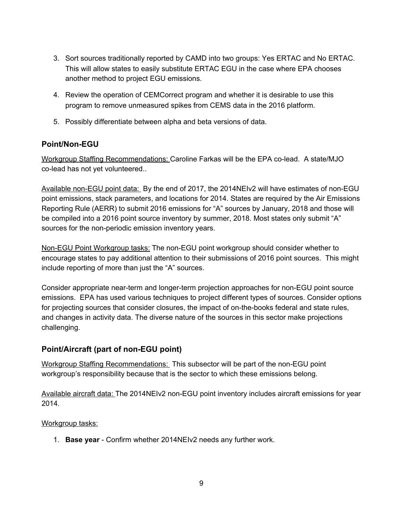- 3. Sort sources traditionally reported by CAMD into two groups: Yes ERTAC and No ERTAC. This will allow states to easily substitute ERTAC EGU in the case where EPA chooses another method to project EGU emissions.
- 4. Review the operation of CEMCorrect program and whether it is desirable to use this program to remove unmeasured spikes from CEMS data in the 2016 platform.
- 5. Possibly differentiate between alpha and beta versions of data.

### <span id="page-9-0"></span>**Point/Non-EGU**

Workgroup Staffing Recommendations: Caroline Farkas will be the EPA co-lead. A state/MJO co-lead has not yet volunteered..

Available non-EGU point data: By the end of 2017, the 2014NEIv2 will have estimates of non-EGU point emissions, stack parameters, and locations for 2014. States are required by the Air Emissions Reporting Rule (AERR) to submit 2016 emissions for "A" sources by January, 2018 and those will be compiled into a 2016 point source inventory by summer, 2018. Most states only submit "A" sources for the non-periodic emission inventory years.

Non-EGU Point Workgroup tasks: The non-EGU point workgroup should consider whether to encourage states to pay additional attention to their submissions of 2016 point sources. This might include reporting of more than just the "A" sources.

Consider appropriate near-term and longer-term projection approaches for non-EGU point source emissions. EPA has used various techniques to project different types of sources. Consider options for projecting sources that consider closures, the impact of on-the-books federal and state rules, and changes in activity data. The diverse nature of the sources in this sector make projections challenging.

### <span id="page-9-1"></span>**Point/Aircraft (part of non-EGU point)**

Workgroup Staffing Recommendations: This subsector will be part of the non-EGU point workgroup's responsibility because that is the sector to which these emissions belong.

Available aircraft data: The 2014NEIv2 non-EGU point inventory includes aircraft emissions for year 2014.

#### Workgroup tasks:

1. **Base year** - Confirm whether 2014NEIv2 needs any further work.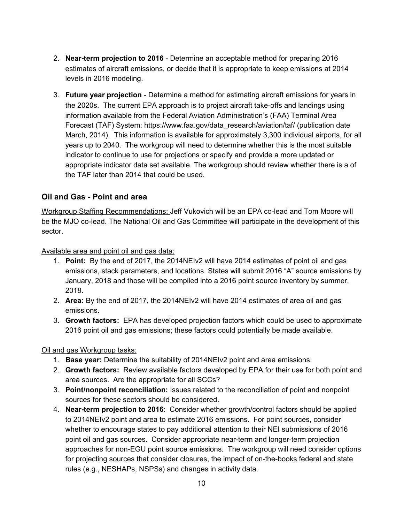- 2. **Near-term projection to 2016** Determine an acceptable method for preparing 2016 estimates of aircraft emissions, or decide that it is appropriate to keep emissions at 2014 levels in 2016 modeling.
- 3. **Future year projection** Determine a method for estimating aircraft emissions for years in the 2020s. The current EPA approach is to project aircraft take-offs and landings using information available from the Federal Aviation Administration's (FAA) Terminal Area Forecast (TAF) System: https://www.faa.gov/data\_research/aviation/taf/ (publication date March, 2014). This information is available for approximately 3,300 individual airports, for all years up to 2040. The workgroup will need to determine whether this is the most suitable indicator to continue to use for projections or specify and provide a more updated or appropriate indicator data set available. The workgroup should review whether there is a of the TAF later than 2014 that could be used.

#### <span id="page-10-0"></span>**Oil and Gas - Point and area**

Workgroup Staffing Recommendations: Jeff Vukovich will be an EPA co-lead and Tom Moore will be the MJO co-lead. The National Oil and Gas Committee will participate in the development of this sector.

Available area and point oil and gas data:

- 1. **Point:** By the end of 2017, the 2014NEIv2 will have 2014 estimates of point oil and gas emissions, stack parameters, and locations. States will submit 2016 "A" source emissions by January, 2018 and those will be compiled into a 2016 point source inventory by summer, 2018.
- 2. **Area:** By the end of 2017, the 2014NEIv2 will have 2014 estimates of area oil and gas emissions.
- 3. **Growth factors:** EPA has developed projection factors which could be used to approximate 2016 point oil and gas emissions; these factors could potentially be made available.

Oil and gas Workgroup tasks:

- 1. **Base year:** Determine the suitability of 2014NEIv2 point and area emissions.
- 2. **Growth factors:** Review available factors developed by EPA for their use for both point and area sources. Are the appropriate for all SCCs?
- 3. **Point/nonpoint reconciliation:** Issues related to the reconciliation of point and nonpoint sources for these sectors should be considered.
- 4. **Near-term projection to 2016**: Consider whether growth/control factors should be applied to 2014NEIv2 point and area to estimate 2016 emissions. For point sources, consider whether to encourage states to pay additional attention to their NEI submissions of 2016 point oil and gas sources. Consider appropriate near-term and longer-term projection approaches for non-EGU point source emissions. The workgroup will need consider options for projecting sources that consider closures, the impact of on-the-books federal and state rules (e.g., NESHAPs, NSPSs) and changes in activity data.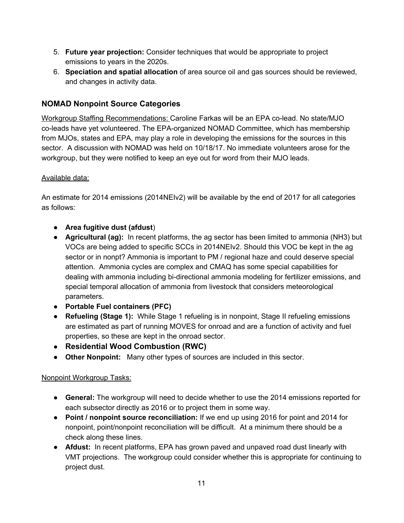- 5. **Future year projection:** Consider techniques that would be appropriate to project emissions to years in the 2020s.
- 6. **Speciation and spatial allocation** of area source oil and gas sources should be reviewed, and changes in activity data.

# <span id="page-11-0"></span>**NOMAD Nonpoint Source Categories**

Workgroup Staffing Recommendations: Caroline Farkas will be an EPA co-lead. No state/MJO co-leads have yet volunteered. The EPA-organized NOMAD Committee, which has membership from MJOs, states and EPA, may play a role in developing the emissions for the sources in this sector. A discussion with NOMAD was held on 10/18/17. No immediate volunteers arose for the workgroup, but they were notified to keep an eye out for word from their MJO leads.

#### Available data:

An estimate for 2014 emissions (2014NEIv2) will be available by the end of 2017 for all categories as follows:

- **Area fugitive dust (afdust**)
- **Agricultural (ag):** In recent platforms, the ag sector has been limited to ammonia (NH3) but VOCs are being added to specific SCCs in 2014NEIv2. Should this VOC be kept in the ag sector or in nonpt? Ammonia is important to PM / regional haze and could deserve special attention. Ammonia cycles are complex and CMAQ has some special capabilities for dealing with ammonia including bi-directional ammonia modeling for fertilizer emissions, and special temporal allocation of ammonia from livestock that considers meteorological parameters.
- **Portable Fuel containers (PFC)**
- **Refueling (Stage 1):** While Stage 1 refueling is in nonpoint, Stage II refueling emissions are estimated as part of running MOVES for onroad and are a function of activity and fuel properties, so these are kept in the onroad sector.
- **● Residential Wood Combustion (RWC)**
- **Other Nonpoint:** Many other types of sources are included in this sector.

#### Nonpoint Workgroup Tasks:

- **General:** The workgroup will need to decide whether to use the 2014 emissions reported for each subsector directly as 2016 or to project them in some way.
- **● Point / nonpoint source reconciliation:** If we end up using 2016 for point and 2014 for nonpoint, point/nonpoint reconciliation will be difficult. At a minimum there should be a check along these lines.
- **Afdust:** In recent platforms, EPA has grown paved and unpaved road dust linearly with VMT projections. The workgroup could consider whether this is appropriate for continuing to project dust.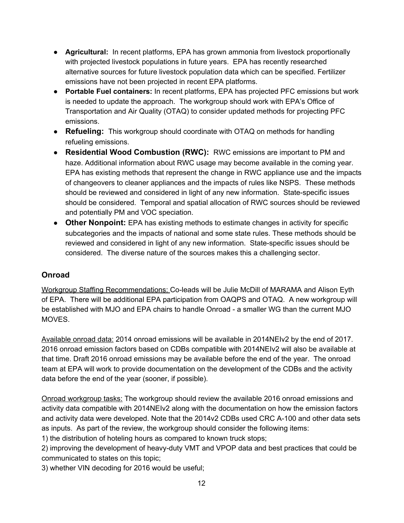- **Agricultural:** In recent platforms, EPA has grown ammonia from livestock proportionally with projected livestock populations in future years. EPA has recently researched alternative sources for future livestock population data which can be specified. Fertilizer emissions have not been projected in recent EPA platforms.
- **Portable Fuel containers:** In recent platforms, EPA has projected PFC emissions but work is needed to update the approach. The workgroup should work with EPA's Office of Transportation and Air Quality (OTAQ) to consider updated methods for projecting PFC emissions.
- **● Refueling:** This workgroup should coordinate with OTAQ on methods for handling refueling emissions.
- **● Residential Wood Combustion (RWC):** RWC emissions are important to PM and haze. Additional information about RWC usage may become available in the coming year. EPA has existing methods that represent the change in RWC appliance use and the impacts of changeovers to cleaner appliances and the impacts of rules like NSPS. These methods should be reviewed and considered in light of any new information. State-specific issues should be considered. Temporal and spatial allocation of RWC sources should be reviewed and potentially PM and VOC speciation.
- **● Other Nonpoint:** EPA has existing methods to estimate changes in activity for specific subcategories and the impacts of national and some state rules. These methods should be reviewed and considered in light of any new information. State-specific issues should be considered. The diverse nature of the sources makes this a challenging sector.

### <span id="page-12-0"></span>**Onroad**

Workgroup Staffing Recommendations: Co-leads will be Julie McDill of MARAMA and Alison Eyth of EPA. There will be additional EPA participation from OAQPS and OTAQ. A new workgroup will be established with MJO and EPA chairs to handle Onroad - a smaller WG than the current MJO MOVES.

Available onroad data: 2014 onroad emissions will be available in 2014NEIv2 by the end of 2017. 2016 onroad emission factors based on CDBs compatible with 2014NEIv2 will also be available at that time. Draft 2016 onroad emissions may be available before the end of the year. The onroad team at EPA will work to provide documentation on the development of the CDBs and the activity data before the end of the year (sooner, if possible).

Onroad workgroup tasks: The workgroup should review the available 2016 onroad emissions and activity data compatible with 2014NEIv2 along with the documentation on how the emission factors and activity data were developed. Note that the 2014v2 CDBs used CRC A-100 and other data sets as inputs. As part of the review, the workgroup should consider the following items:

1) the distribution of hoteling hours as compared to known truck stops;

2) improving the development of heavy-duty VMT and VPOP data and best practices that could be communicated to states on this topic;

3) whether VIN decoding for 2016 would be useful;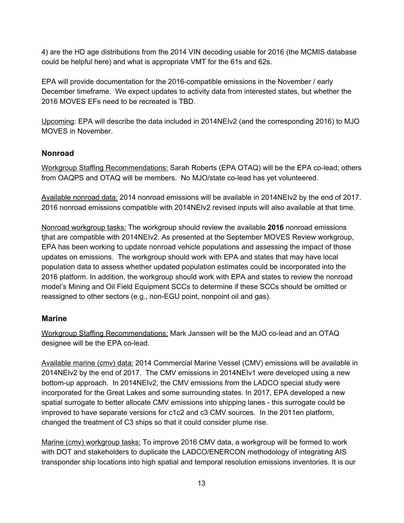4) are the HD age distributions from the 2014 VIN decoding usable for 2016 (the MCMIS database could be helpful here) and what is appropriate VMT for the 61s and 62s.

EPA will provide documentation for the 2016-compatible emissions in the November / early December timeframe. We expect updates to activity data from interested states, but whether the 2016 MOVES EFs need to be recreated is TBD.

Upcoming: EPA will describe the data included in 2014NEIv2 (and the corresponding 2016) to MJO MOVES in November.

### <span id="page-13-0"></span>**Nonroad**

Workgroup Staffing Recommendations: Sarah Roberts (EPA OTAQ) will be the EPA co-lead; others from OAQPS and OTAQ will be members. No MJO/state co-lead has yet volunteered.

Available nonroad data: 2014 nonroad emissions will be available in 2014NEIv2 by the end of 2017. 2016 nonroad emissions compatible with 2014NEIv2 revised inputs will also available at that time.

Nonroad workgroup tasks: The workgroup should review the available **2016** nonroad emissions tjhat are compatible with 2014NEIv2. As presented at the September MOVES Review workgroup, EPA has been working to update nonroad vehicle populations and assessing the impact of those updates on emissions. The workgroup should work with EPA and states that may have local population data to assess whether updated population estimates could be incorporated into the 2016 platform. In addition, the workgroup should work with EPA and states to review the nonroad model's Mining and Oil Field Equipment SCCs to determine if these SCCs should be omitted or reassigned to other sectors (e.g., non-EGU point, nonpoint oil and gas).

# <span id="page-13-1"></span>**Marine**

Workgroup Staffing Recommendations: Mark Janssen will be the MJO co-lead and an OTAQ designee will be the EPA co-lead.

Available marine (cmv) data: 2014 Commercial Marine Vessel (CMV) emissions will be available in 2014NEIv2 by the end of 2017. The CMV emissions in 2014NEIv1 were developed using a new bottom-up approach. In 2014NEIv2, the CMV emissions from the LADCO special study were incorporated for the Great Lakes and some surrounding states. In 2017, EPA developed a new spatial surrogate to better allocate CMV emissions into shipping lanes - this surrogate could be improved to have separate versions for c1c2 and c3 CMV sources. In the 2011en platform, changed the treatment of C3 ships so that it could consider plume rise.

Marine (cmv) workgroup tasks: To improve 2016 CMV data, a workgroup will be formed to work with DOT and stakeholders to duplicate the LADCO/ENERCON methodology of integrating AIS transponder ship locations into high spatial and temporal resolution emissions inventories. It is our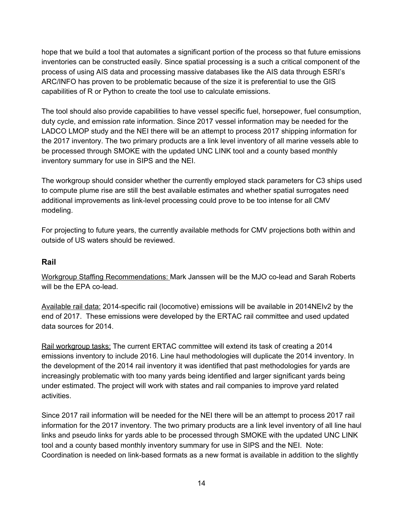hope that we build a tool that automates a significant portion of the process so that future emissions inventories can be constructed easily. Since spatial processing is a such a critical component of the process of using AIS data and processing massive databases like the AIS data through ESRI's ARC/INFO has proven to be problematic because of the size it is preferential to use the GIS capabilities of R or Python to create the tool use to calculate emissions.

The tool should also provide capabilities to have vessel specific fuel, horsepower, fuel consumption, duty cycle, and emission rate information. Since 2017 vessel information may be needed for the LADCO LMOP study and the NEI there will be an attempt to process 2017 shipping information for the 2017 inventory. The two primary products are a link level inventory of all marine vessels able to be processed through SMOKE with the updated UNC LINK tool and a county based monthly inventory summary for use in SIPS and the NEI.

The workgroup should consider whether the currently employed stack parameters for C3 ships used to compute plume rise are still the best available estimates and whether spatial surrogates need additional improvements as link-level processing could prove to be too intense for all CMV modeling.

For projecting to future years, the currently available methods for CMV projections both within and outside of US waters should be reviewed.

#### <span id="page-14-0"></span>**Rail**

Workgroup Staffing Recommendations: Mark Janssen will be the MJO co-lead and Sarah Roberts will be the EPA co-lead.

Available rail data: 2014-specific rail (locomotive) emissions will be available in 2014NEIv2 by the end of 2017. These emissions were developed by the ERTAC rail committee and used updated data sources for 2014.

Rail workgroup tasks: The current ERTAC committee will extend its task of creating a 2014 emissions inventory to include 2016. Line haul methodologies will duplicate the 2014 inventory. In the development of the 2014 rail inventory it was identified that past methodologies for yards are increasingly problematic with too many yards being identified and larger significant yards being under estimated. The project will work with states and rail companies to improve yard related activities.

Since 2017 rail information will be needed for the NEI there will be an attempt to process 2017 rail information for the 2017 inventory. The two primary products are a link level inventory of all line haul links and pseudo links for yards able to be processed through SMOKE with the updated UNC LINK tool and a county based monthly inventory summary for use in SIPS and the NEI. Note: Coordination is needed on link-based formats as a new format is available in addition to the slightly